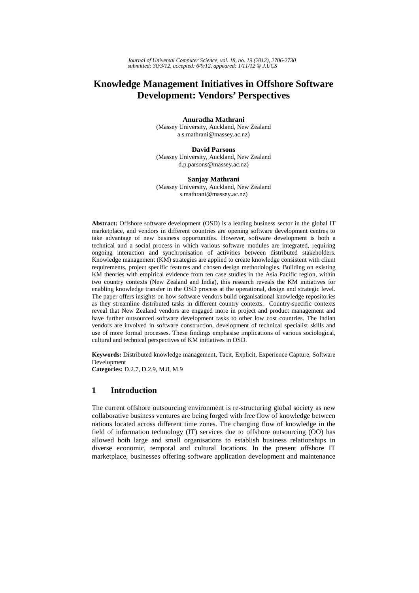# **Knowledge Management Initiatives in Offshore Software Development: Vendors' Perspectives**

**Anuradha Mathrani** 

(Massey University, Auckland, New Zealand a.s.mathrani@massey.ac.nz)

**David Parsons** (Massey University, Auckland, New Zealand

d.p.parsons@massey.ac.nz)

#### **Sanjay Mathrani**

(Massey University, Auckland, New Zealand s.mathrani@massey.ac.nz)

**Abstract:** Offshore software development (OSD) is a leading business sector in the global IT marketplace, and vendors in different countries are opening software development centres to take advantage of new business opportunities. However, software development is both a technical and a social process in which various software modules are integrated, requiring ongoing interaction and synchronisation of activities between distributed stakeholders. Knowledge management (KM) strategies are applied to create knowledge consistent with client requirements, project specific features and chosen design methodologies. Building on existing KM theories with empirical evidence from ten case studies in the Asia Pacific region, within two country contexts (New Zealand and India), this research reveals the KM initiatives for enabling knowledge transfer in the OSD process at the operational, design and strategic level. The paper offers insights on how software vendors build organisational knowledge repositories as they streamline distributed tasks in different country contexts. Country-specific contexts reveal that New Zealand vendors are engaged more in project and product management and have further outsourced software development tasks to other low cost countries. The Indian vendors are involved in software construction, development of technical specialist skills and use of more formal processes. These findings emphasise implications of various sociological, cultural and technical perspectives of KM initiatives in OSD.

**Keywords:** Distributed knowledge management, Tacit, Explicit, Experience Capture, Software Development **Categories:** D.2.7, D.2.9, M.8, M.9

### **1 Introduction**

The current offshore outsourcing environment is re-structuring global society as new collaborative business ventures are being forged with free flow of knowledge between nations located across different time zones. The changing flow of knowledge in the field of information technology (IT) services due to offshore outsourcing (OO) has allowed both large and small organisations to establish business relationships in diverse economic, temporal and cultural locations. In the present offshore IT marketplace, businesses offering software application development and maintenance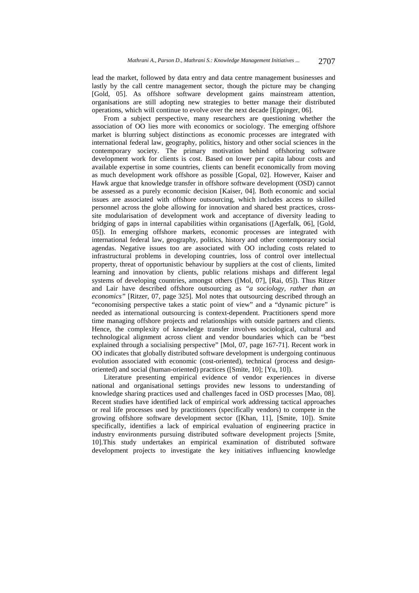lead the market, followed by data entry and data centre management businesses and lastly by the call centre management sector, though the picture may be changing [Gold, 05]. As offshore software development gains mainstream attention, organisations are still adopting new strategies to better manage their distributed operations, which will continue to evolve over the next decade [Eppinger, 06].

From a subject perspective, many researchers are questioning whether the association of OO lies more with economics or sociology. The emerging offshore market is blurring subject distinctions as economic processes are integrated with international federal law, geography, politics, history and other social sciences in the contemporary society. The primary motivation behind offshoring software development work for clients is cost. Based on lower per capita labour costs and available expertise in some countries, clients can benefit economically from moving as much development work offshore as possible [Gopal, 02]. However, Kaiser and Hawk argue that knowledge transfer in offshore software development (OSD) cannot be assessed as a purely economic decision [Kaiser, 04]. Both economic and social issues are associated with offshore outsourcing, which includes access to skilled personnel across the globe allowing for innovation and shared best practices, crosssite modularisation of development work and acceptance of diversity leading to bridging of gaps in internal capabilities within organisations ([Agerfalk, 06], [Gold, 05]). In emerging offshore markets, economic processes are integrated with international federal law, geography, politics, history and other contemporary social agendas. Negative issues too are associated with OO including costs related to infrastructural problems in developing countries, loss of control over intellectual property, threat of opportunistic behaviour by suppliers at the cost of clients, limited learning and innovation by clients, public relations mishaps and different legal systems of developing countries, amongst others ([Mol, 07], [Rai, 05]). Thus Ritzer and Lair have described offshore outsourcing as *"a sociology, rather than an economics"* [Ritzer, 07, page 325]. Mol notes that outsourcing described through an "economising perspective takes a static point of view" and a "dynamic picture" is needed as international outsourcing is context-dependent. Practitioners spend more time managing offshore projects and relationships with outside partners and clients. Hence, the complexity of knowledge transfer involves sociological, cultural and technological alignment across client and vendor boundaries which can be "best explained through a socialising perspective" [Mol, 07, page 167-71]. Recent work in OO indicates that globally distributed software development is undergoing continuous evolution associated with economic (cost-oriented), technical (process and designoriented) and social (human-oriented) practices ([Smite, 10]; [Yu, 10]).

Literature presenting empirical evidence of vendor experiences in diverse national and organisational settings provides new lessons to understanding of knowledge sharing practices used and challenges faced in OSD processes [Mao, 08]. Recent studies have identified lack of empirical work addressing tactical approaches or real life processes used by practitioners (specifically vendors) to compete in the growing offshore software development sector ([Khan, 11], [Smite, 10]). Smite specifically, identifies a lack of empirical evaluation of engineering practice in industry environments pursuing distributed software development projects [Smite, 10].This study undertakes an empirical examination of distributed software development projects to investigate the key initiatives influencing knowledge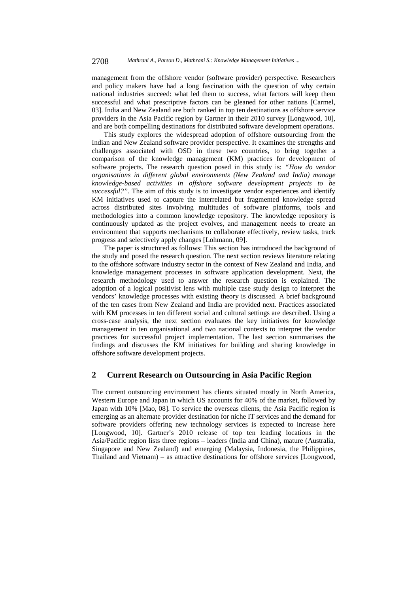management from the offshore vendor (software provider) perspective. Researchers and policy makers have had a long fascination with the question of why certain national industries succeed: what led them to success, what factors will keep them successful and what prescriptive factors can be gleaned for other nations [Carmel, 03]. India and New Zealand are both ranked in top ten destinations as offshore service providers in the Asia Pacific region by Gartner in their 2010 survey [Longwood, 10], and are both compelling destinations for distributed software development operations.

This study explores the widespread adoption of offshore outsourcing from the Indian and New Zealand software provider perspective. It examines the strengths and challenges associated with OSD in these two countries, to bring together a comparison of the knowledge management (KM) practices for development of software projects. The research question posed in this study is: *"How do vendor organisations in different global environments (New Zealand and India) manage knowledge-based activities in offshore software development projects to be successful?".* The aim of this study is to investigate vendor experiences and identify KM initiatives used to capture the interrelated but fragmented knowledge spread across distributed sites involving multitudes of software platforms, tools and methodologies into a common knowledge repository. The knowledge repository is continuously updated as the project evolves, and management needs to create an environment that supports mechanisms to collaborate effectively, review tasks, track progress and selectively apply changes [Lohmann, 09].

The paper is structured as follows: This section has introduced the background of the study and posed the research question. The next section reviews literature relating to the offshore software industry sector in the context of New Zealand and India, and knowledge management processes in software application development. Next, the research methodology used to answer the research question is explained. The adoption of a logical positivist lens with multiple case study design to interpret the vendors' knowledge processes with existing theory is discussed. A brief background of the ten cases from New Zealand and India are provided next. Practices associated with KM processes in ten different social and cultural settings are described. Using a cross-case analysis, the next section evaluates the key initiatives for knowledge management in ten organisational and two national contexts to interpret the vendor practices for successful project implementation. The last section summarises the findings and discusses the KM initiatives for building and sharing knowledge in offshore software development projects.

### **2 Current Research on Outsourcing in Asia Pacific Region**

The current outsourcing environment has clients situated mostly in North America, Western Europe and Japan in which US accounts for 40% of the market, followed by Japan with 10% [Mao, 08]. To service the overseas clients, the Asia Pacific region is emerging as an alternate provider destination for niche IT services and the demand for software providers offering new technology services is expected to increase here [Longwood, 10]. Gartner's 2010 release of top ten leading locations in the Asia/Pacific region lists three regions – leaders (India and China), mature (Australia, Singapore and New Zealand) and emerging (Malaysia, Indonesia, the Philippines, Thailand and Vietnam) – as attractive destinations for offshore services [Longwood,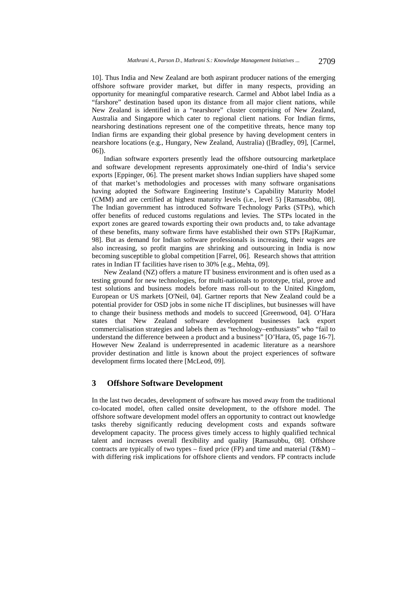10]. Thus India and New Zealand are both aspirant producer nations of the emerging offshore software provider market, but differ in many respects, providing an opportunity for meaningful comparative research. Carmel and Abbot label India as a "farshore" destination based upon its distance from all major client nations, while New Zealand is identified in a "nearshore" cluster comprising of New Zealand, Australia and Singapore which cater to regional client nations. For Indian firms, nearshoring destinations represent one of the competitive threats, hence many top Indian firms are expanding their global presence by having development centers in nearshore locations (e.g., Hungary, New Zealand, Australia) ([Bradley, 09], [Carmel, 06]).

Indian software exporters presently lead the offshore outsourcing marketplace and software development represents approximately one-third of India's service exports [Eppinger, 06]. The present market shows Indian suppliers have shaped some of that market's methodologies and processes with many software organisations having adopted the Software Engineering Institute's Capability Maturity Model (CMM) and are certified at highest maturity levels (i.e., level 5) [Ramasubbu, 08]. The Indian government has introduced Software Technology Parks (STPs), which offer benefits of reduced customs regulations and levies. The STPs located in the export zones are geared towards exporting their own products and, to take advantage of these benefits, many software firms have established their own STPs [RajKumar, 98]. But as demand for Indian software professionals is increasing, their wages are also increasing, so profit margins are shrinking and outsourcing in India is now becoming susceptible to global competition [Farrel, 06]. Research shows that attrition rates in Indian IT facilities have risen to 30% [e.g., Mehta, 09].

New Zealand (NZ) offers a mature IT business environment and is often used as a testing ground for new technologies, for multi-nationals to prototype, trial, prove and test solutions and business models before mass roll-out to the United Kingdom, European or US markets [O'Neil, 04]. Gartner reports that New Zealand could be a potential provider for OSD jobs in some niche IT disciplines, but businesses will have to change their business methods and models to succeed [Greenwood, 04]. O'Hara states that New Zealand software development businesses lack export commercialisation strategies and labels them as "technology–enthusiasts" who "fail to understand the difference between a product and a business" [O'Hara, 05, page 16-7]. However New Zealand is underrepresented in academic literature as a nearshore provider destination and little is known about the project experiences of software development firms located there [McLeod, 09].

### **3 Offshore Software Development**

In the last two decades, development of software has moved away from the traditional co-located model, often called onsite development, to the offshore model. The offshore software development model offers an opportunity to contract out knowledge tasks thereby significantly reducing development costs and expands software development capacity. The process gives timely access to highly qualified technical talent and increases overall flexibility and quality [Ramasubbu, 08]. Offshore contracts are typically of two types – fixed price (FP) and time and material (T&M) – with differing risk implications for offshore clients and vendors. FP contracts include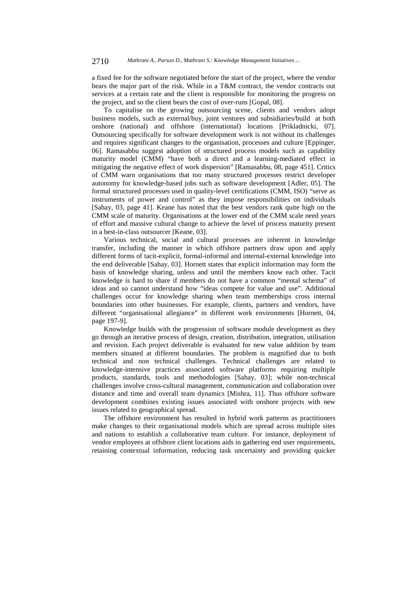a fixed fee for the software negotiated before the start of the project, where the vendor bears the major part of the risk. While in a T&M contract, the vendor contracts out services at a certain rate and the client is responsible for monitoring the progress on the project, and so the client bears the cost of over-runs [Gopal, 08].

To capitalise on the growing outsourcing scene, clients and vendors adopt business models, such as external/buy, joint ventures and subsidiaries/build at both onshore (national) and offshore (international) locations [Prikladnicki, 07]. Outsourcing specifically for software development work is not without its challenges and requires significant changes to the organisation, processes and culture [Eppinger, 06]. Ramasabbu suggest adoption of structured process models such as capability maturity model (CMM) "have both a direct and a learning-mediated effect in mitigating the negative effect of work dispersion" [Ramasabbu, 08, page 451]. Critics of CMM warn organisations that too many structured processes restrict developer autonomy for knowledge-based jobs such as software development [Adler, 05]. The formal structured processes used in quality-level certifications (CMM, ISO) "serve as instruments of power and control" as they impose responsibilities on individuals [Sahay, 03, page 41]. Keane has noted that the best vendors rank quite high on the CMM scale of maturity. Organisations at the lower end of the CMM scale need years of effort and massive cultural change to achieve the level of process maturity present in a best-in-class outsourcer [Keane, 03].

Various technical, social and cultural processes are inherent in knowledge transfer, including the manner in which offshore partners draw upon and apply different forms of tacit-explicit, formal-informal and internal-external knowledge into the end deliverable [Sahay, 03]. Hornett states that explicit information may form the basis of knowledge sharing, unless and until the members know each other. Tacit knowledge is hard to share if members do not have a common "mental schema" of ideas and so cannot understand how "ideas compete for value and use". Additional challenges occur for knowledge sharing when team memberships cross internal boundaries into other businesses. For example, clients, partners and vendors, have different "organisational allegiance" in different work environments [Hornett, 04, page 197-9].

Knowledge builds with the progression of software module development as they go through an iterative process of design, creation, distribution, integration, utilisation and revision. Each project deliverable is evaluated for new value addition by team members situated at different boundaries. The problem is magnified due to both technical and non technical challenges. Technical challenges are related to knowledge-intensive practices associated software platforms requiring multiple products, standards, tools and methodologies [Sahay, 03]; while non-technical challenges involve cross-cultural management, communication and collaboration over distance and time and overall team dynamics [Mishra, 11]. Thus offshore software development combines existing issues associated with onshore projects with new issues related to geographical spread.

The offshore environment has resulted in hybrid work patterns as practitioners make changes to their organisational models which are spread across multiple sites and nations to establish a collaborative team culture. For instance, deployment of vendor employees at offshore client locations aids in gathering end user requirements, retaining contextual information, reducing task uncertainty and providing quicker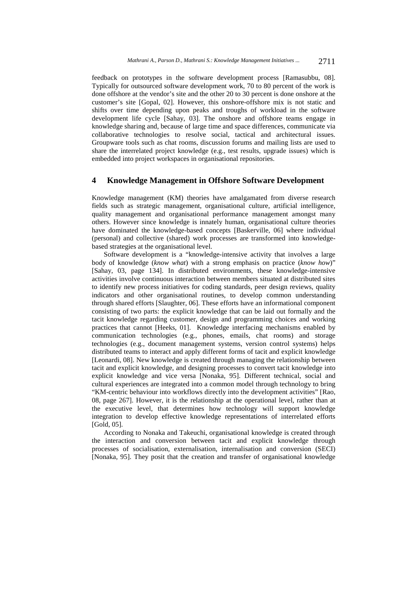feedback on prototypes in the software development process [Ramasubbu, 08]. Typically for outsourced software development work, 70 to 80 percent of the work is done offshore at the vendor's site and the other 20 to 30 percent is done onshore at the customer's site [Gopal, 02]. However, this onshore-offshore mix is not static and shifts over time depending upon peaks and troughs of workload in the software development life cycle [Sahay, 03]. The onshore and offshore teams engage in knowledge sharing and, because of large time and space differences, communicate via collaborative technologies to resolve social, tactical and architectural issues. Groupware tools such as chat rooms, discussion forums and mailing lists are used to share the interrelated project knowledge (e.g., test results, upgrade issues) which is embedded into project workspaces in organisational repositories.

### **4 Knowledge Management in Offshore Software Development**

Knowledge management (KM) theories have amalgamated from diverse research fields such as strategic management, organisational culture, artificial intelligence, quality management and organisational performance management amongst many others. However since knowledge is innately human, organisational culture theories have dominated the knowledge-based concepts [Baskerville, 06] where individual (personal) and collective (shared) work processes are transformed into knowledgebased strategies at the organisational level.

Software development is a "knowledge-intensive activity that involves a large body of knowledge (*know what*) with a strong emphasis on practice (*know how*)" [Sahay, 03, page 134]. In distributed environments, these knowledge-intensive activities involve continuous interaction between members situated at distributed sites to identify new process initiatives for coding standards, peer design reviews, quality indicators and other organisational routines, to develop common understanding through shared efforts [Slaughter, 06]. These efforts have an informational component consisting of two parts: the explicit knowledge that can be laid out formally and the tacit knowledge regarding customer, design and programming choices and working practices that cannot [Heeks, 01]. Knowledge interfacing mechanisms enabled by communication technologies (e.g., phones, emails, chat rooms) and storage technologies (e.g., document management systems, version control systems) helps distributed teams to interact and apply different forms of tacit and explicit knowledge [Leonardi, 08]. New knowledge is created through managing the relationship between tacit and explicit knowledge, and designing processes to convert tacit knowledge into explicit knowledge and vice versa [Nonaka, 95]. Different technical, social and cultural experiences are integrated into a common model through technology to bring "KM-centric behaviour into workflows directly into the development activities" [Rao, 08, page 267]. However, it is the relationship at the operational level, rather than at the executive level, that determines how technology will support knowledge integration to develop effective knowledge representations of interrelated efforts [Gold, 05].

According to Nonaka and Takeuchi, organisational knowledge is created through the interaction and conversion between tacit and explicit knowledge through processes of socialisation, externalisation, internalisation and conversion (SECI) [Nonaka, 95]. They posit that the creation and transfer of organisational knowledge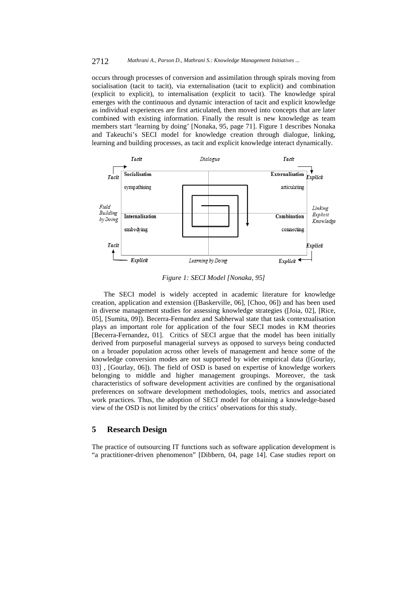#### 2712 *Mathrani A., Parson D., Mathrani S.: Knowledge Management Initiatives ...*

occurs through processes of conversion and assimilation through spirals moving from socialisation (tacit to tacit), via externalisation (tacit to explicit) and combination (explicit to explicit), to internalisation (explicit to tacit). The knowledge spiral emerges with the continuous and dynamic interaction of tacit and explicit knowledge as individual experiences are first articulated, then moved into concepts that are later combined with existing information. Finally the result is new knowledge as team members start 'learning by doing' [Nonaka, 95, page 71]. Figure 1 describes Nonaka and Takeuchi's SECI model for knowledge creation through dialogue, linking, learning and building processes, as tacit and explicit knowledge interact dynamically.



*Figure 1: SECI Model [Nonaka, 95]* 

The SECI model is widely accepted in academic literature for knowledge creation, application and extension ([Baskerville, 06], [Choo, 06]) and has been used in diverse management studies for assessing knowledge strategies ([Joia, 02], [Rice, 05], [Sumita, 09]). Becerra-Fernandez and Sabherwal state that task contextualisation plays an important role for application of the four SECI modes in KM theories [Becerra-Fernandez, 01]. Critics of SECI argue that the model has been initially derived from purposeful managerial surveys as opposed to surveys being conducted on a broader population across other levels of management and hence some of the knowledge conversion modes are not supported by wider empirical data ([Gourlay, 03] , [Gourlay, 06]). The field of OSD is based on expertise of knowledge workers belonging to middle and higher management groupings. Moreover, the task characteristics of software development activities are confined by the organisational preferences on software development methodologies, tools, metrics and associated work practices. Thus, the adoption of SECI model for obtaining a knowledge-based view of the OSD is not limited by the critics' observations for this study.

# **5 Research Design**

The practice of outsourcing IT functions such as software application development is "a practitioner-driven phenomenon" [Dibbern, 04, page 14]. Case studies report on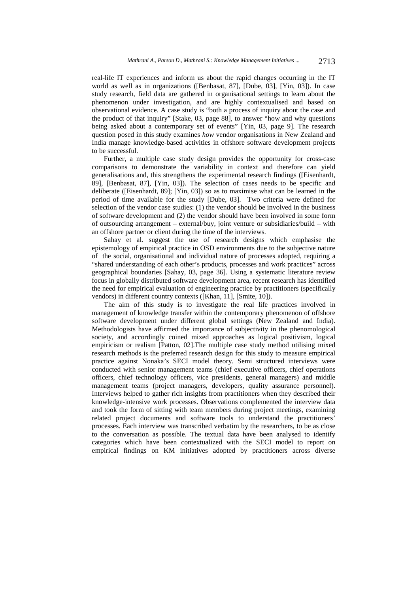real-life IT experiences and inform us about the rapid changes occurring in the IT world as well as in organizations ([Benbasat, 87], [Dube, 03], [Yin, 03]). In case study research, field data are gathered in organisational settings to learn about the phenomenon under investigation, and are highly contextualised and based on observational evidence. A case study is "both a process of inquiry about the case and the product of that inquiry" [Stake, 03, page 88], to answer "how and why questions being asked about a contemporary set of events" [Yin, 03, page 9]. The research question posed in this study examines *how* vendor organisations in New Zealand and India manage knowledge-based activities in offshore software development projects to be successful.

Further, a multiple case study design provides the opportunity for cross-case comparisons to demonstrate the variability in context and therefore can yield generalisations and, this strengthens the experimental research findings ([Eisenhardt, 89], [Benbasat, 87], [Yin, 03]). The selection of cases needs to be specific and deliberate ([Eisenhardt, 89]; [Yin, 03]) so as to maximise what can be learned in the period of time available for the study [Dube, 03]. Two criteria were defined for selection of the vendor case studies: (1) the vendor should be involved in the business of software development and (2) the vendor should have been involved in some form of outsourcing arrangement – external/buy, joint venture or subsidiaries/build – with an offshore partner or client during the time of the interviews.

Sahay et al. suggest the use of research designs which emphasise the epistemology of empirical practice in OSD environments due to the subjective nature of the social, organisational and individual nature of processes adopted, requiring a "shared understanding of each other's products, processes and work practices" across geographical boundaries [Sahay, 03, page 36]. Using a systematic literature review focus in globally distributed software development area, recent research has identified the need for empirical evaluation of engineering practice by practitioners (specifically vendors) in different country contexts ([Khan, 11], [Smite, 10]).

The aim of this study is to investigate the real life practices involved in management of knowledge transfer within the contemporary phenomenon of offshore software development under different global settings (New Zealand and India). Methodologists have affirmed the importance of subjectivity in the phenomological society, and accordingly coined mixed approaches as logical positivism, logical empiricism or realism [Patton, 02].The multiple case study method utilising mixed research methods is the preferred research design for this study to measure empirical practice against Nonaka's SECI model theory. Semi structured interviews were conducted with senior management teams (chief executive officers, chief operations officers, chief technology officers, vice presidents, general managers) and middle management teams (project managers, developers, quality assurance personnel). Interviews helped to gather rich insights from practitioners when they described their knowledge-intensive work processes. Observations complemented the interview data and took the form of sitting with team members during project meetings, examining related project documents and software tools to understand the practitioners' processes. Each interview was transcribed verbatim by the researchers, to be as close to the conversation as possible. The textual data have been analysed to identify categories which have been contextualized with the SECI model to report on empirical findings on KM initiatives adopted by practitioners across diverse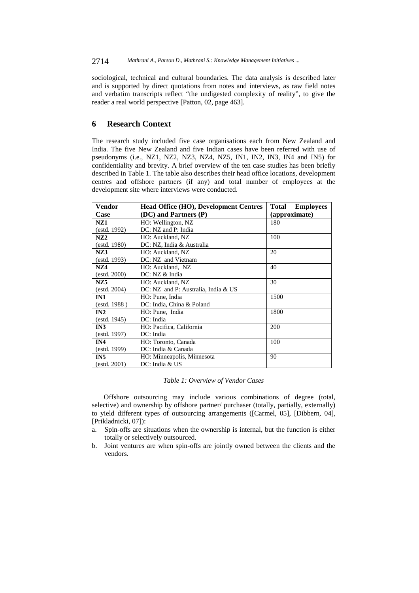sociological, technical and cultural boundaries. The data analysis is described later and is supported by direct quotations from notes and interviews, as raw field notes and verbatim transcripts reflect "the undigested complexity of reality", to give the reader a real world perspective [Patton, 02, page 463].

## **6 Research Context**

The research study included five case organisations each from New Zealand and India. The five New Zealand and five Indian cases have been referred with use of pseudonyms (i.e., NZ1, NZ2, NZ3, NZ4, NZ5, IN1, IN2, IN3, IN4 and IN5) for confidentiality and brevity. A brief overview of the ten case studies has been briefly described in Table 1. The table also describes their head office locations, development centres and offshore partners (if any) and total number of employees at the development site where interviews were conducted.

| Vendor          | <b>Head Office (HO), Development Centres</b> | <b>Total Employees</b> |
|-----------------|----------------------------------------------|------------------------|
| Case            | (DC) and Partners (P)                        | (approximate)          |
| NZ1             | HO: Wellington, NZ                           | 180                    |
| (estd. 1992)    | DC: NZ and P: India                          |                        |
| NZ2             | HO: Auckland, NZ                             | 100                    |
| (estd. 1980)    | DC: NZ, India & Australia                    |                        |
| NZ3             | HO: Auckland, NZ                             | 20                     |
| (estd. 1993)    | DC: NZ and Vietnam                           |                        |
| NZ4             | HO: Auckland, NZ                             | 40                     |
| (estd. 2000)    | DC: NZ & India                               |                        |
| NZ5             | HO: Auckland, NZ                             | 30                     |
| (estd. 2004)    | DC: NZ and P: Australia, India & US          |                        |
| IN1             | HO: Pune, India                              | 1500                   |
| (estd. 1988)    | DC: India, China & Poland                    |                        |
| IN2             | HO: Pune, India                              | 1800                   |
| (estd. 1945)    | DC: India                                    |                        |
| IN3             | HO: Pacifica, California                     | 200                    |
| (estd. 1997)    | DC: India                                    |                        |
| IN4             | HO: Toronto, Canada                          | 100                    |
| (estd. 1999)    | DC: India & Canada                           |                        |
| IN <sub>5</sub> | HO: Minneapolis, Minnesota                   | 90                     |
| (estd. 2001)    | DC: India & US                               |                        |

#### *Table 1: Overview of Vendor Cases*

Offshore outsourcing may include various combinations of degree (total, selective) and ownership by offshore partner/ purchaser (totally, partially, externally) to yield different types of outsourcing arrangements ([Carmel, 05], [Dibbern, 04], [Prikladnicki, 07]):

- a. Spin-offs are situations when the ownership is internal, but the function is either totally or selectively outsourced.
- b. Joint ventures are when spin-offs are jointly owned between the clients and the vendors.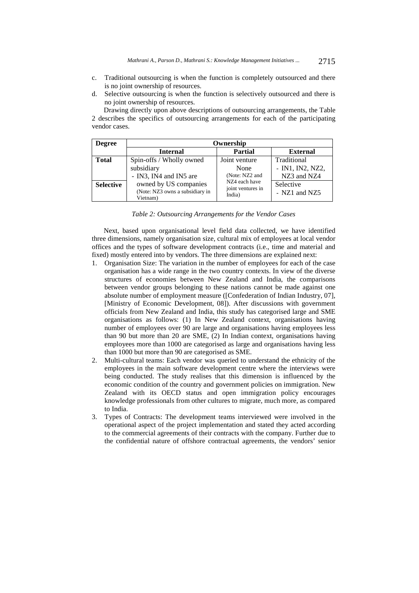- c. Traditional outsourcing is when the function is completely outsourced and there is no joint ownership of resources.
- d. Selective outsourcing is when the function is selectively outsourced and there is no joint ownership of resources.

Drawing directly upon above descriptions of outsourcing arrangements, the Table 2 describes the specifics of outsourcing arrangements for each of the participating vendor cases.

| <b>Degree</b>    | Ownership                                                            |                                 |                                   |  |  |  |
|------------------|----------------------------------------------------------------------|---------------------------------|-----------------------------------|--|--|--|
|                  | <b>Internal</b>                                                      | <b>Partial</b>                  | <b>External</b>                   |  |  |  |
| <b>Total</b>     | Spin-offs / Wholly owned<br>subsidiary                               | Joint venture<br>None           | Traditional<br>$-$ IN1, IN2, NZ2, |  |  |  |
|                  | - IN3, IN4 and IN5 are                                               | (Note: NZ2 and<br>NZ4 each have | NZ3 and NZ4                       |  |  |  |
| <b>Selective</b> | owned by US companies<br>(Note: NZ3 owns a subsidiary in<br>Vietnam) | joint ventures in<br>India)     | Selective<br>- $NZ1$ and $NZ5$    |  |  |  |

| Table 2: Outsourcing Arrangements for the Vendor Cases |  |
|--------------------------------------------------------|--|
|--------------------------------------------------------|--|

Next, based upon organisational level field data collected, we have identified three dimensions, namely organisation size, cultural mix of employees at local vendor offices and the types of software development contracts (i.e., time and material and fixed) mostly entered into by vendors. The three dimensions are explained next:

- 1. Organisation Size: The variation in the number of employees for each of the case organisation has a wide range in the two country contexts. In view of the diverse structures of economies between New Zealand and India, the comparisons between vendor groups belonging to these nations cannot be made against one absolute number of employment measure ([Confederation of Indian Industry, 07], [Ministry of Economic Development, 08]). After discussions with government officials from New Zealand and India, this study has categorised large and SME organisations as follows: (1) In New Zealand context, organisations having number of employees over 90 are large and organisations having employees less than 90 but more than 20 are SME, (2) In Indian context, organisations having employees more than 1000 are categorised as large and organisations having less than 1000 but more than 90 are categorised as SME.
- 2. Multi-cultural teams: Each vendor was queried to understand the ethnicity of the employees in the main software development centre where the interviews were being conducted. The study realises that this dimension is influenced by the economic condition of the country and government policies on immigration. New Zealand with its OECD status and open immigration policy encourages knowledge professionals from other cultures to migrate, much more, as compared to India.
- 3. Types of Contracts: The development teams interviewed were involved in the operational aspect of the project implementation and stated they acted according to the commercial agreements of their contracts with the company. Further due to the confidential nature of offshore contractual agreements, the vendors' senior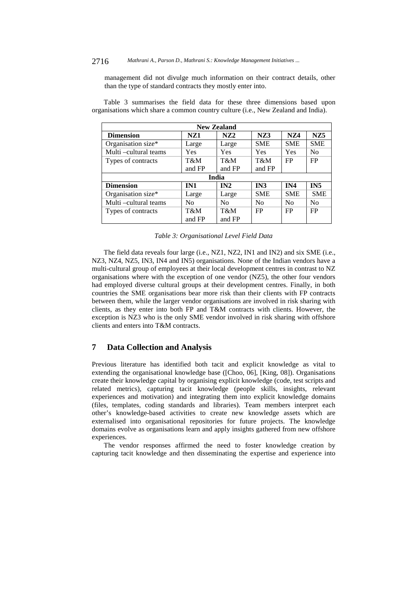#### 2716 *Mathrani A., Parson D., Mathrani S.: Knowledge Management Initiatives ...*

management did not divulge much information on their contract details, other than the type of standard contracts they mostly enter into.

| <b>New Zealand</b>    |                |                |                |                |                 |  |  |  |
|-----------------------|----------------|----------------|----------------|----------------|-----------------|--|--|--|
| <b>Dimension</b>      | NZ1            | NZ2            | NZ3            | <b>NZ4</b>     | NZ <sub>5</sub> |  |  |  |
| Organisation size*    | Large          | Large          | <b>SME</b>     | <b>SME</b>     | <b>SME</b>      |  |  |  |
| Multi –cultural teams | Yes            | Yes            | Yes            | Yes            | N <sub>0</sub>  |  |  |  |
| Types of contracts    | T&M            | T&M            | T&M            | FP             | FP              |  |  |  |
|                       | and FP         | and FP         | and FP         |                |                 |  |  |  |
| India                 |                |                |                |                |                 |  |  |  |
| <b>Dimension</b>      | IN1            | IN2            | IN3            | IN4            | IN <sub>5</sub> |  |  |  |
| Organisation size*    | Large          | Large          | <b>SME</b>     | <b>SME</b>     | <b>SME</b>      |  |  |  |
| Multi –cultural teams | N <sub>0</sub> | N <sub>0</sub> | N <sub>0</sub> | N <sub>0</sub> | N <sub>0</sub>  |  |  |  |
| Types of contracts    | T&M            | T&M            | FP             | FP             | FP              |  |  |  |
|                       | and FP         | and FP         |                |                |                 |  |  |  |

Table 3 summarises the field data for these three dimensions based upon organisations which share a common country culture (i.e., New Zealand and India).

### *Table 3: Organisational Level Field Data*

The field data reveals four large (i.e., NZ1, NZ2, IN1 and IN2) and six SME (i.e., NZ3, NZ4, NZ5, IN3, IN4 and IN5) organisations. None of the Indian vendors have a multi-cultural group of employees at their local development centres in contrast to NZ organisations where with the exception of one vendor (NZ5), the other four vendors had employed diverse cultural groups at their development centres. Finally, in both countries the SME organisations bear more risk than their clients with FP contracts between them, while the larger vendor organisations are involved in risk sharing with clients, as they enter into both FP and T&M contracts with clients. However, the exception is NZ3 who is the only SME vendor involved in risk sharing with offshore clients and enters into T&M contracts.

## **7 Data Collection and Analysis**

Previous literature has identified both tacit and explicit knowledge as vital to extending the organisational knowledge base ([Choo, 06], [King, 08]). Organisations create their knowledge capital by organising explicit knowledge (code, test scripts and related metrics), capturing tacit knowledge (people skills, insights, relevant experiences and motivation) and integrating them into explicit knowledge domains (files, templates, coding standards and libraries). Team members interpret each other's knowledge-based activities to create new knowledge assets which are externalised into organisational repositories for future projects. The knowledge domains evolve as organisations learn and apply insights gathered from new offshore experiences.

The vendor responses affirmed the need to foster knowledge creation by capturing tacit knowledge and then disseminating the expertise and experience into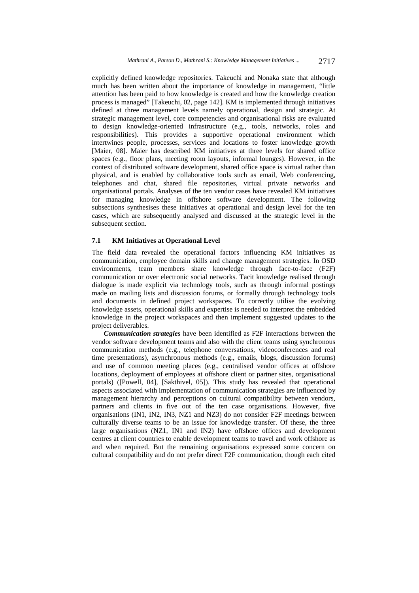explicitly defined knowledge repositories. Takeuchi and Nonaka state that although much has been written about the importance of knowledge in management, "little attention has been paid to how knowledge is created and how the knowledge creation process is managed" [Takeuchi, 02, page 142]. KM is implemented through initiatives defined at three management levels namely operational, design and strategic. At strategic management level, core competencies and organisational risks are evaluated to design knowledge-oriented infrastructure (e.g., tools, networks, roles and responsibilities). This provides a supportive operational environment which intertwines people, processes, services and locations to foster knowledge growth [Maier, 08]. Maier has described KM initiatives at three levels for shared office spaces (e.g., floor plans, meeting room layouts, informal lounges). However, in the context of distributed software development, shared office space is virtual rather than physical, and is enabled by collaborative tools such as email, Web conferencing, telephones and chat, shared file repositories, virtual private networks and organisational portals. Analyses of the ten vendor cases have revealed KM initiatives for managing knowledge in offshore software development. The following subsections synthesises these initiatives at operational and design level for the ten cases, which are subsequently analysed and discussed at the strategic level in the subsequent section.

#### **7.1 KM Initiatives at Operational Level**

The field data revealed the operational factors influencing KM initiatives as communication, employee domain skills and change management strategies. In OSD environments, team members share knowledge through face-to-face (F2F) communication or over electronic social networks. Tacit knowledge realised through dialogue is made explicit via technology tools, such as through informal postings made on mailing lists and discussion forums, or formally through technology tools and documents in defined project workspaces. To correctly utilise the evolving knowledge assets, operational skills and expertise is needed to interpret the embedded knowledge in the project workspaces and then implement suggested updates to the project deliverables.

*Communication strategies* have been identified as F2F interactions between the vendor software development teams and also with the client teams using synchronous communication methods (e.g., telephone conversations, videoconferences and real time presentations), asynchronous methods (e.g., emails, blogs, discussion forums) and use of common meeting places (e.g., centralised vendor offices at offshore locations, deployment of employees at offshore client or partner sites, organisational portals) ([Powell, 04], [Sakthivel, 05]). This study has revealed that operational aspects associated with implementation of communication strategies are influenced by management hierarchy and perceptions on cultural compatibility between vendors, partners and clients in five out of the ten case organisations. However, five organisations (IN1, IN2, IN3, NZ1 and NZ3) do not consider F2F meetings between culturally diverse teams to be an issue for knowledge transfer. Of these, the three large organisations (NZ1, IN1 and IN2) have offshore offices and development centres at client countries to enable development teams to travel and work offshore as and when required. But the remaining organisations expressed some concern on cultural compatibility and do not prefer direct F2F communication, though each cited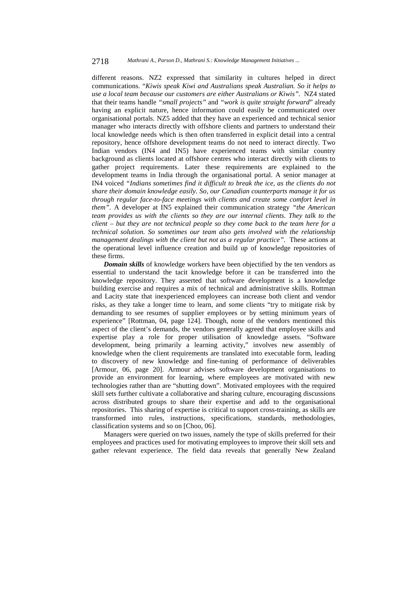different reasons. NZ2 expressed that similarity in cultures helped in direct communications. "*Kiwis speak Kiwi and Australians speak Australian. So it helps to use a local team because our customers are either Australians or Kiwis".* NZ4 stated that their teams handle *"small projects"* and *"work is quite straight forward*" already having an explicit nature, hence information could easily be communicated over organisational portals. NZ5 added that they have an experienced and technical senior manager who interacts directly with offshore clients and partners to understand their local knowledge needs which is then often transferred in explicit detail into a central repository, hence offshore development teams do not need to interact directly. Two Indian vendors (IN4 and IN5) have experienced teams with similar country background as clients located at offshore centres who interact directly with clients to gather project requirements. Later these requirements are explained to the development teams in India through the organisational portal. A senior manager at IN4 voiced *"Indians sometimes find it difficult to break the ice, as the clients do not share their domain knowledge easily. So, our Canadian counterparts manage it for us through regular face-to-face meetings with clients and create some comfort level in them".* A developer at IN5 explained their communication strategy *"the American team provides us with the clients so they are our internal clients. They talk to the client – but they are not technical people so they come back to the team here for a technical solution. So sometimes our team also gets involved with the relationship management dealings with the client but not as a regular practice"*. These actions at the operational level influence creation and build up of knowledge repositories of these firms.

*Domain skills* of knowledge workers have been objectified by the ten vendors as essential to understand the tacit knowledge before it can be transferred into the knowledge repository. They asserted that software development is a knowledge building exercise and requires a mix of technical and administrative skills. Rottman and Lacity state that inexperienced employees can increase both client and vendor risks, as they take a longer time to learn, and some clients "try to mitigate risk by demanding to see resumes of supplier employees or by setting minimum years of experience" [Rottman, 04, page 124]. Though, none of the vendors mentioned this aspect of the client's demands, the vendors generally agreed that employee skills and expertise play a role for proper utilisation of knowledge assets. "Software development, being primarily a learning activity," involves new assembly of knowledge when the client requirements are translated into executable form, leading to discovery of new knowledge and fine-tuning of performance of deliverables [Armour, 06, page 20]. Armour advises software development organisations to provide an environment for learning, where employees are motivated with new technologies rather than are "shutting down". Motivated employees with the required skill sets further cultivate a collaborative and sharing culture, encouraging discussions across distributed groups to share their expertise and add to the organisational repositories. This sharing of expertise is critical to support cross-training, as skills are transformed into rules, instructions, specifications, standards, methodologies, classification systems and so on [Choo, 06].

Managers were queried on two issues, namely the type of skills preferred for their employees and practices used for motivating employees to improve their skill sets and gather relevant experience. The field data reveals that generally New Zealand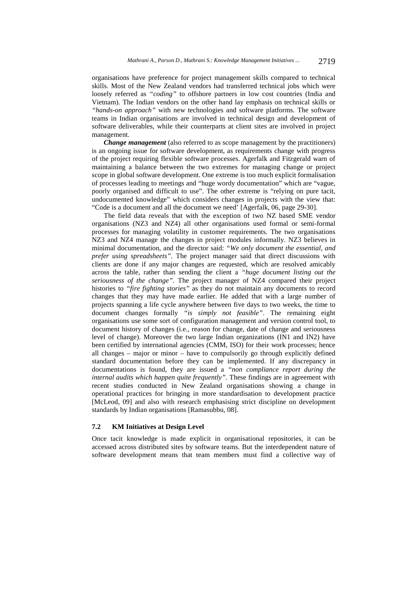organisations have preference for project management skills compared to technical skills. Most of the New Zealand vendors had transferred technical jobs which were loosely referred as *"coding"* to offshore partners in low cost countries (India and Vietnam). The Indian vendors on the other hand lay emphasis on technical skills or *"hands-on approach"* with new technologies and software platforms. The software teams in Indian organisations are involved in technical design and development of software deliverables, while their counterparts at client sites are involved in project management.

*Change management* (also referred to as scope management by the practitioners) is an ongoing issue for software development, as requirements change with progress of the project requiring flexible software processes. Agerfalk and Fitzgerald warn of maintaining a balance between the two extremes for managing change or project scope in global software development. One extreme is too much explicit formalisation of processes leading to meetings and "huge wordy documentation" which are "vague, poorly organised and difficult to use". The other extreme is "relying on pure tacit, undocumented knowledge" which considers changes in projects with the view that: "Code is a document and all the document we need' [Agerfalk, 06, page 29-30].

The field data reveals that with the exception of two NZ based SME vendor organisations (NZ3 and NZ4) all other organisations used formal or semi-formal processes for managing volatility in customer requirements. The two organisations NZ3 and NZ4 manage the changes in project modules informally. NZ3 believes in minimal documentation, and the director said: *"We only document the essential, and prefer using spreadsheets".* The project manager said that direct discussions with clients are done if any major changes are requested, which are resolved amicably across the table, rather than sending the client a *"huge document listing out the seriousness of the change"*. The project manager of NZ4 compared their project histories to *"fire fighting stories"* as they do not maintain any documents to record changes that they may have made earlier. He added that with a large number of projects spanning a life cycle anywhere between five days to two weeks, the time to document changes formally *"is simply not feasible"*. The remaining eight organisations use some sort of configuration management and version control tool, to document history of changes (i.e., reason for change, date of change and seriousness level of change). Moreover the two large Indian organizations (IN1 and IN2) have been certified by international agencies (CMM, ISO) for their work processes; hence all changes – major or minor – have to compulsorily go through explicitly defined standard documentation before they can be implemented. If any discrepancy in documentations is found, they are issued a *"non compliance report during the internal audits which happen quite frequently".* These findings are in agreement with recent studies conducted in New Zealand organisations showing a change in operational practices for bringing in more standardisation to development practice [McLeod, 09] and also with research emphasising strict discipline on development standards by Indian organisations [Ramasubbu, 08].

### **7.2 KM Initiatives at Design Level**

Once tacit knowledge is made explicit in organisational repositories, it can be accessed across distributed sites by software teams. But the interdependent nature of software development means that team members must find a collective way of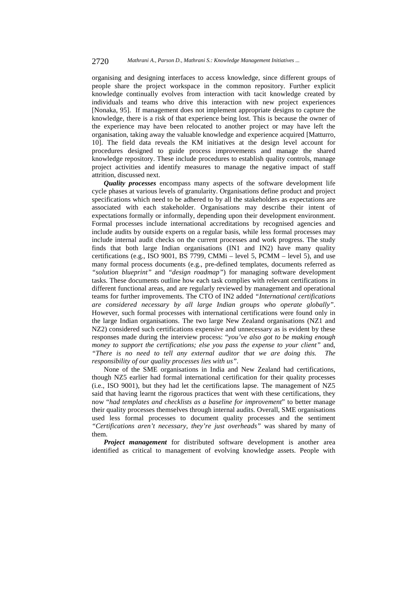organising and designing interfaces to access knowledge, since different groups of people share the project workspace in the common repository. Further explicit knowledge continually evolves from interaction with tacit knowledge created by individuals and teams who drive this interaction with new project experiences [Nonaka, 95]. If management does not implement appropriate designs to capture the knowledge, there is a risk of that experience being lost. This is because the owner of the experience may have been relocated to another project or may have left the organisation, taking away the valuable knowledge and experience acquired [Matturro, 10]. The field data reveals the KM initiatives at the design level account for procedures designed to guide process improvements and manage the shared knowledge repository. These include procedures to establish quality controls, manage project activities and identify measures to manage the negative impact of staff attrition, discussed next.

*Quality processes* encompass many aspects of the software development life cycle phases at various levels of granularity. Organisations define product and project specifications which need to be adhered to by all the stakeholders as expectations are associated with each stakeholder. Organisations may describe their intent of expectations formally or informally, depending upon their development environment. Formal processes include international accreditations by recognised agencies and include audits by outside experts on a regular basis, while less formal processes may include internal audit checks on the current processes and work progress. The study finds that both large Indian organisations (IN1 and IN2) have many quality certifications (e.g., ISO 9001, BS 7799, CMMi – level 5, PCMM – level 5), and use many formal process documents (e.g., pre-defined templates, documents referred as *"solution blueprint"* and *"design roadmap"*) for managing software development tasks. These documents outline how each task complies with relevant certifications in different functional areas, and are regularly reviewed by management and operational teams for further improvements. The CTO of IN2 added *"International certifications are considered necessary by all large Indian groups who operate globally"*. However, such formal processes with international certifications were found only in the large Indian organisations. The two large New Zealand organisations (NZ1 and NZ2) considered such certifications expensive and unnecessary as is evident by these responses made during the interview process: "*you've also got to be making enough money to support the certifications; else you pass the expense to your client"* and, *"There is no need to tell any external auditor that we are doing this. The responsibility of our quality processes lies with us"*.

None of the SME organisations in India and New Zealand had certifications, though NZ5 earlier had formal international certification for their quality processes (i.e., ISO 9001), but they had let the certifications lapse. The management of NZ5 said that having learnt the rigorous practices that went with these certifications, they now "*had templates and checklists as a baseline for improvement*" to better manage their quality processes themselves through internal audits. Overall, SME organisations used less formal processes to document quality processes and the sentiment *"Certifications aren't necessary, they're just overheads"* was shared by many of them.

*Project management* for distributed software development is another area identified as critical to management of evolving knowledge assets. People with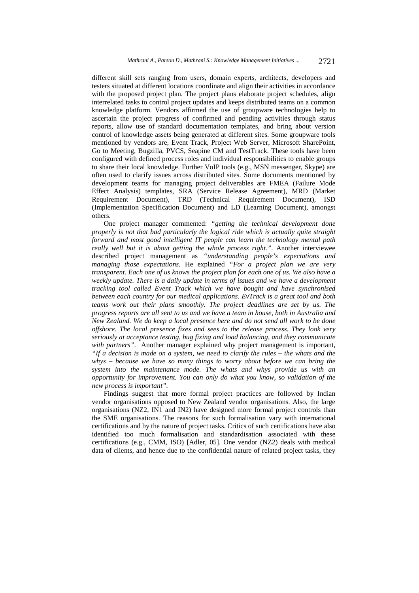different skill sets ranging from users, domain experts, architects, developers and testers situated at different locations coordinate and align their activities in accordance with the proposed project plan. The project plans elaborate project schedules, align interrelated tasks to control project updates and keeps distributed teams on a common knowledge platform. Vendors affirmed the use of groupware technologies help to ascertain the project progress of confirmed and pending activities through status reports, allow use of standard documentation templates, and bring about version control of knowledge assets being generated at different sites. Some groupware tools mentioned by vendors are, Event Track, Project Web Server, Microsoft SharePoint, Go to Meeting, Bugzilla, PVCS, Seapine CM and TestTrack. These tools have been configured with defined process roles and individual responsibilities to enable groups to share their local knowledge. Further VoIP tools (e.g., MSN messenger, Skype) are often used to clarify issues across distributed sites. Some documents mentioned by development teams for managing project deliverables are FMEA (Failure Mode Effect Analysis) templates, SRA (Service Release Agreement), MRD (Market Requirement Document), TRD (Technical Requirement Document), ISD (Implementation Specification Document) and LD (Learning Document), amongst others.

One project manager commented: *"getting the technical development done properly is not that bad particularly the logical ride which is actually quite straight forward and most good intelligent IT people can learn the technology mental path really well but it is about getting the whole process right."*. Another interviewee described project management as *"understanding people's expectations and managing those expectations.* He explained *"For a project plan we are very transparent. Each one of us knows the project plan for each one of us. We also have a weekly update. There is a daily update in terms of issues and we have a development tracking tool called Event Track which we have bought and have synchronised between each country for our medical applications. EvTrack is a great tool and both teams work out their plans smoothly. The project deadlines are set by us. The progress reports are all sent to us and we have a team in house, both in Australia and New Zealand. We do keep a local presence here and do not send all work to be done offshore. The local presence fixes and sees to the release process. They look very seriously at acceptance testing, bug fixing and load balancing, and they communicate with partners"*. Another manager explained why project management is important, *"If a decision is made on a system, we need to clarify the rules – the whats and the whys – because we have so many things to worry about before we can bring the system into the maintenance mode. The whats and whys provide us with an opportunity for improvement. You can only do what you know, so validation of the new process is important".* 

Findings suggest that more formal project practices are followed by Indian vendor organisations opposed to New Zealand vendor organisations. Also, the large organisations (NZ2, IN1 and IN2) have designed more formal project controls than the SME organisations. The reasons for such formalisation vary with international certifications and by the nature of project tasks. Critics of such certifications have also identified too much formalisation and standardisation associated with these certifications (e.g., CMM, ISO) [Adler, 05]. One vendor (NZ2) deals with medical data of clients, and hence due to the confidential nature of related project tasks, they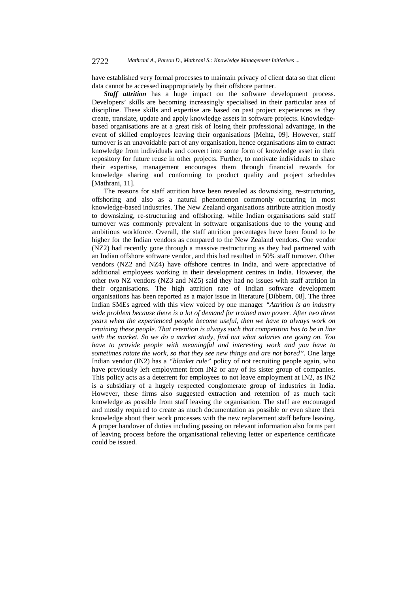have established very formal processes to maintain privacy of client data so that client data cannot be accessed inappropriately by their offshore partner.

*Staff attrition* has a huge impact on the software development process. Developers' skills are becoming increasingly specialised in their particular area of discipline. These skills and expertise are based on past project experiences as they create, translate, update and apply knowledge assets in software projects. Knowledgebased organisations are at a great risk of losing their professional advantage, in the event of skilled employees leaving their organisations [Mehta, 09]. However, staff turnover is an unavoidable part of any organisation, hence organisations aim to extract knowledge from individuals and convert into some form of knowledge asset in their repository for future reuse in other projects. Further, to motivate individuals to share their expertise, management encourages them through financial rewards for knowledge sharing and conforming to product quality and project schedules [Mathrani, 11].

The reasons for staff attrition have been revealed as downsizing, re-structuring, offshoring and also as a natural phenomenon commonly occurring in most knowledge-based industries. The New Zealand organisations attribute attrition mostly to downsizing, re-structuring and offshoring, while Indian organisations said staff turnover was commonly prevalent in software organisations due to the young and ambitious workforce. Overall, the staff attrition percentages have been found to be higher for the Indian vendors as compared to the New Zealand vendors. One vendor (NZ2) had recently gone through a massive restructuring as they had partnered with an Indian offshore software vendor, and this had resulted in 50% staff turnover. Other vendors (NZ2 and NZ4) have offshore centres in India, and were appreciative of additional employees working in their development centres in India. However, the other two NZ vendors (NZ3 and NZ5) said they had no issues with staff attrition in their organisations. The high attrition rate of Indian software development organisations has been reported as a major issue in literature [Dibbern, 08]. The three Indian SMEs agreed with this view voiced by one manager *"Attrition is an industry wide problem because there is a lot of demand for trained man power. After two three years when the experienced people become useful, then we have to always work on retaining these people. That retention is always such that competition has to be in line with the market. So we do a market study, find out what salaries are going on. You have to provide people with meaningful and interesting work and you have to sometimes rotate the work, so that they see new things and are not bored".* One large Indian vendor (IN2) has a *"blanket rule"* policy of not recruiting people again, who have previously left employment from IN2 or any of its sister group of companies. This policy acts as a deterrent for employees to not leave employment at IN2, as IN2 is a subsidiary of a hugely respected conglomerate group of industries in India. However, these firms also suggested extraction and retention of as much tacit knowledge as possible from staff leaving the organisation. The staff are encouraged and mostly required to create as much documentation as possible or even share their knowledge about their work processes with the new replacement staff before leaving. A proper handover of duties including passing on relevant information also forms part of leaving process before the organisational relieving letter or experience certificate could be issued.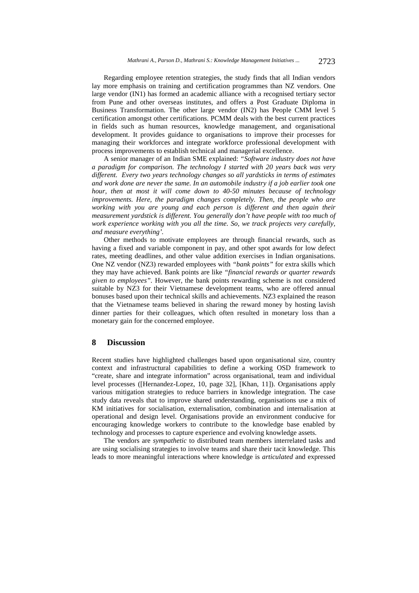Regarding employee retention strategies, the study finds that all Indian vendors lay more emphasis on training and certification programmes than NZ vendors. One large vendor (IN1) has formed an academic alliance with a recognised tertiary sector from Pune and other overseas institutes, and offers a Post Graduate Diploma in Business Transformation. The other large vendor (IN2) has People CMM level 5 certification amongst other certifications. PCMM deals with the best current practices in fields such as human resources, knowledge management, and organisational development. It provides guidance to organisations to improve their processes for managing their workforces and integrate workforce professional development with process improvements to establish technical and managerial excellence.

A senior manager of an Indian SME explained: *"Software industry does not have a paradigm for comparison. The technology I started with 20 years back was very different. Every two years technology changes so all yardsticks in terms of estimates and work done are never the same. In an automobile industry if a job earlier took one hour, then at most it will come down to 40-50 minutes because of technology improvements. Here, the paradigm changes completely. Then, the people who are working with you are young and each person is different and then again their measurement yardstick is different. You generally don't have people with too much of work experience working with you all the time. So, we track projects very carefully, and measure everything'.* 

Other methods to motivate employees are through financial rewards, such as having a fixed and variable component in pay, and other spot awards for low defect rates, meeting deadlines, and other value addition exercises in Indian organisations. One NZ vendor (NZ3) rewarded employees with *"bank points"* for extra skills which they may have achieved. Bank points are like *"financial rewards or quarter rewards given to employees".* However, the bank points rewarding scheme is not considered suitable by NZ3 for their Vietnamese development teams, who are offered annual bonuses based upon their technical skills and achievements. NZ3 explained the reason that the Vietnamese teams believed in sharing the reward money by hosting lavish dinner parties for their colleagues, which often resulted in monetary loss than a monetary gain for the concerned employee.

### **8 Discussion**

Recent studies have highlighted challenges based upon organisational size, country context and infrastructural capabilities to define a working OSD framework to "create, share and integrate information" across organisational, team and individual level processes ([Hernandez-Lopez, 10, page 32], [Khan, 11]). Organisations apply various mitigation strategies to reduce barriers in knowledge integration. The case study data reveals that to improve shared understanding, organisations use a mix of KM initiatives for socialisation, externalisation, combination and internalisation at operational and design level. Organisations provide an environment conducive for encouraging knowledge workers to contribute to the knowledge base enabled by technology and processes to capture experience and evolving knowledge assets.

The vendors are *sympathetic* to distributed team members interrelated tasks and are using socialising strategies to involve teams and share their tacit knowledge. This leads to more meaningful interactions where knowledge is *articulated* and expressed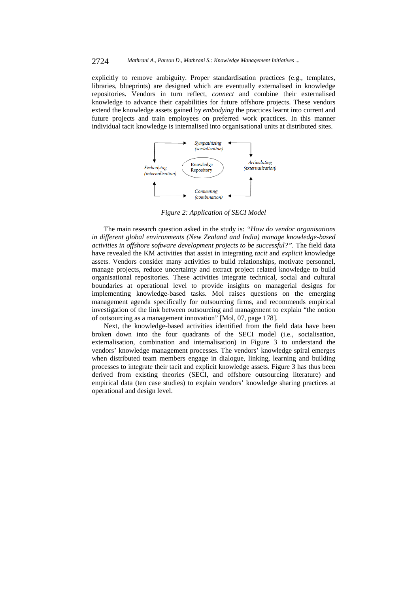explicitly to remove ambiguity. Proper standardisation practices (e.g., templates, libraries, blueprints) are designed which are eventually externalised in knowledge repositories. Vendors in turn reflect, *connect* and combine their externalised knowledge to advance their capabilities for future offshore projects. These vendors extend the knowledge assets gained by *embodying* the practices learnt into current and future projects and train employees on preferred work practices. In this manner individual tacit knowledge is internalised into organisational units at distributed sites.



*Figure 2: Application of SECI Model* 

The main research question asked in the study is: *"How do vendor organisations in different global environments (New Zealand and India) manage knowledge-based activities in offshore software development projects to be successful?".* The field data have revealed the KM activities that assist in integrating *tacit* and *explicit* knowledge assets. Vendors consider many activities to build relationships, motivate personnel, manage projects, reduce uncertainty and extract project related knowledge to build organisational repositories. These activities integrate technical, social and cultural boundaries at operational level to provide insights on managerial designs for implementing knowledge-based tasks. Mol raises questions on the emerging management agenda specifically for outsourcing firms, and recommends empirical investigation of the link between outsourcing and management to explain "the notion of outsourcing as a management innovation" [Mol, 07, page 178].

Next, the knowledge-based activities identified from the field data have been broken down into the four quadrants of the SECI model (i.e., socialisation, externalisation, combination and internalisation) in Figure 3 to understand the vendors' knowledge management processes. The vendors' knowledge spiral emerges when distributed team members engage in dialogue, linking, learning and building processes to integrate their tacit and explicit knowledge assets. Figure 3 has thus been derived from existing theories (SECI, and offshore outsourcing literature) and empirical data (ten case studies) to explain vendors' knowledge sharing practices at operational and design level.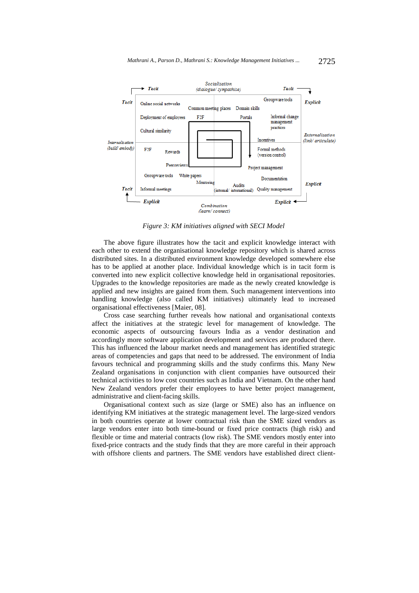

*Figure 3: KM initiatives aligned with SECI Model* 

The above figure illustrates how the tacit and explicit knowledge interact with each other to extend the organisational knowledge repository which is shared across distributed sites. In a distributed environment knowledge developed somewhere else has to be applied at another place. Individual knowledge which is in tacit form is converted into new explicit collective knowledge held in organisational repositories. Upgrades to the knowledge repositories are made as the newly created knowledge is applied and new insights are gained from them. Such management interventions into handling knowledge (also called KM initiatives) ultimately lead to increased organisational effectiveness [Maier, 08].

Cross case searching further reveals how national and organisational contexts affect the initiatives at the strategic level for management of knowledge. The economic aspects of outsourcing favours India as a vendor destination and accordingly more software application development and services are produced there. This has influenced the labour market needs and management has identified strategic areas of competencies and gaps that need to be addressed. The environment of India favours technical and programming skills and the study confirms this. Many New Zealand organisations in conjunction with client companies have outsourced their technical activities to low cost countries such as India and Vietnam. On the other hand New Zealand vendors prefer their employees to have better project management, administrative and client-facing skills.

Organisational context such as size (large or SME) also has an influence on identifying KM initiatives at the strategic management level. The large-sized vendors in both countries operate at lower contractual risk than the SME sized vendors as large vendors enter into both time-bound or fixed price contracts (high risk) and flexible or time and material contracts (low risk). The SME vendors mostly enter into fixed-price contracts and the study finds that they are more careful in their approach with offshore clients and partners. The SME vendors have established direct client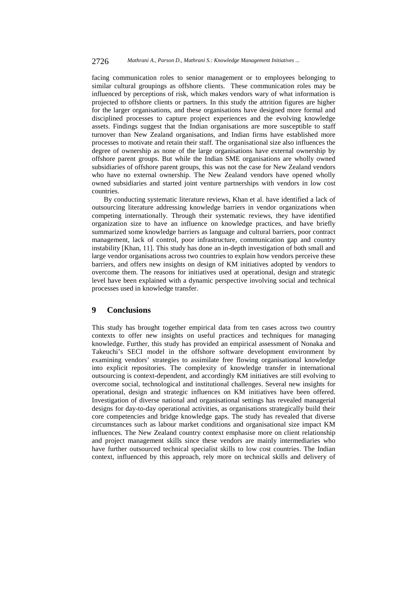facing communication roles to senior management or to employees belonging to similar cultural groupings as offshore clients. These communication roles may be influenced by perceptions of risk, which makes vendors wary of what information is projected to offshore clients or partners. In this study the attrition figures are higher for the larger organisations, and these organisations have designed more formal and disciplined processes to capture project experiences and the evolving knowledge assets. Findings suggest that the Indian organisations are more susceptible to staff turnover than New Zealand organisations, and Indian firms have established more processes to motivate and retain their staff. The organisational size also influences the degree of ownership as none of the large organisations have external ownership by offshore parent groups. But while the Indian SME organisations are wholly owned subsidiaries of offshore parent groups, this was not the case for New Zealand vendors who have no external ownership. The New Zealand vendors have opened wholly owned subsidiaries and started joint venture partnerships with vendors in low cost countries.

By conducting systematic literature reviews, Khan et al. have identified a lack of outsourcing literature addressing knowledge barriers in vendor organizations when competing internationally. Through their systematic reviews, they have identified organization size to have an influence on knowledge practices, and have briefly summarized some knowledge barriers as language and cultural barriers, poor contract management, lack of control, poor infrastructure, communication gap and country instability [Khan, 11]. This study has done an in-depth investigation of both small and large vendor organisations across two countries to explain how vendors perceive these barriers, and offers new insights on design of KM initiatives adopted by vendors to overcome them. The reasons for initiatives used at operational, design and strategic level have been explained with a dynamic perspective involving social and technical processes used in knowledge transfer.

### **9 Conclusions**

This study has brought together empirical data from ten cases across two country contexts to offer new insights on useful practices and techniques for managing knowledge. Further, this study has provided an empirical assessment of Nonaka and Takeuchi's SECI model in the offshore software development environment by examining vendors' strategies to assimilate free flowing organisational knowledge into explicit repositories. The complexity of knowledge transfer in international outsourcing is context-dependent, and accordingly KM initiatives are still evolving to overcome social, technological and institutional challenges. Several new insights for operational, design and strategic influences on KM initiatives have been offered. Investigation of diverse national and organisational settings has revealed managerial designs for day-to-day operational activities, as organisations strategically build their core competencies and bridge knowledge gaps. The study has revealed that diverse circumstances such as labour market conditions and organisational size impact KM influences. The New Zealand country context emphasise more on client relationship and project management skills since these vendors are mainly intermediaries who have further outsourced technical specialist skills to low cost countries. The Indian context, influenced by this approach, rely more on technical skills and delivery of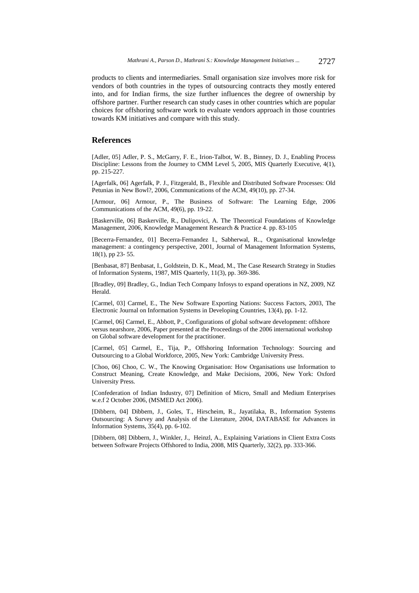products to clients and intermediaries. Small organisation size involves more risk for vendors of both countries in the types of outsourcing contracts they mostly entered into, and for Indian firms, the size further influences the degree of ownership by offshore partner. Further research can study cases in other countries which are popular choices for offshoring software work to evaluate vendors approach in those countries towards KM initiatives and compare with this study.

### **References**

[Adler, 05] Adler, P. S., McGarry, F. E., Irion-Talbot, W. B., Binney, D. J., Enabling Process Discipline: Lessons from the Journey to CMM Level 5, 2005, MIS Quarterly Executive, 4(1), pp. 215-227.

[Agerfalk, 06] Agerfalk, P. J., Fitzgerald, B., Flexible and Distributed Software Processes: Old Petunias in New Bowl?, 2006, Communications of the ACM, 49(10), pp. 27-34.

[Armour, 06] Armour, P., The Business of Software: The Learning Edge, 2006 Communications of the ACM, 49(6), pp. 19-22.

[Baskerville, 06] Baskerville, R., Dulipovici, A. The Theoretical Foundations of Knowledge Management, 2006, Knowledge Management Research & Practice 4. pp. 83-105

[Becerra-Fernandez, 01] Becerra-Fernandez I., Sabherwal, R.., Organisational knowledge management: a contingency perspective, 2001, Journal of Management Information Systems, 18(1), pp 23- 55.

[Benbasat, 87] Benbasat, I., Goldstein, D. K., Mead, M., The Case Research Strategy in Studies of Information Systems, 1987, MIS Quarterly, 11(3), pp. 369-386.

[Bradley, 09] Bradley, G., Indian Tech Company Infosys to expand operations in NZ, 2009, NZ Herald.

[Carmel, 03] Carmel, E., The New Software Exporting Nations: Success Factors, 2003, The Electronic Journal on Information Systems in Developing Countries, 13(4), pp. 1-12.

[Carmel, 06] Carmel, E., Abbott, P., Configurations of global software development: offshore versus nearshore, 2006, Paper presented at the Proceedings of the 2006 international workshop on Global software development for the practitioner.

[Carmel, 05] Carmel, E., Tija, P., Offshoring Information Technology: Sourcing and Outsourcing to a Global Workforce, 2005, New York: Cambridge University Press.

[Choo, 06] Choo, C. W., The Knowing Organisation: How Organisations use Information to Construct Meaning, Create Knowledge, and Make Decisions, 2006, New York: Oxford University Press.

[Confederation of Indian Industry, 07] Definition of Micro, Small and Medium Enterprises w.e.f 2 October 2006, (MSMED Act 2006).

[Dibbern, 04] Dibbern, J., Goles, T., Hirscheim, R., Jayatilaka, B., Information Systems Outsourcing: A Survey and Analysis of the Literature, 2004, DATABASE for Advances in Information Systems, 35(4), pp. 6-102.

[Dibbern, 08] Dibbern, J., Winkler, J., Heinzl, A., Explaining Variations in Client Extra Costs between Software Projects Offshored to India, 2008, MIS Quarterly, 32(2), pp. 333-366.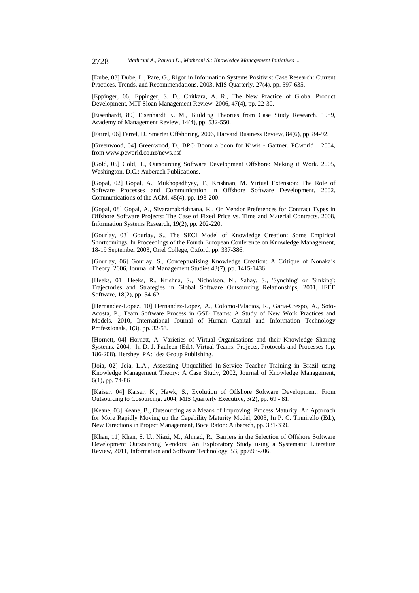[Dube, 03] Dube, L., Pare, G., Rigor in Information Systems Positivist Case Research: Current Practices, Trends, and Recommendations, 2003, MIS Quarterly, 27(4), pp. 597-635.

[Eppinger, 06] Eppinger, S. D., Chitkara, A. R., The New Practice of Global Product Development, MIT Sloan Management Review. 2006, 47(4), pp. 22-30.

[Eisenhardt, 89] Eisenhardt K. M., Building Theories from Case Study Research. 1989, Academy of Management Review, 14(4), pp. 532-550.

[Farrel, 06] Farrel, D. Smarter Offshoring, 2006, Harvard Business Review, 84(6), pp. 84-92.

[Greenwood, 04] Greenwood, D., BPO Boom a boon for Kiwis - Gartner. PCworld 2004, from www.pcworld.co.nz/news.nsf

[Gold, 05] Gold, T., Outsourcing Software Development Offshore: Making it Work. 2005, Washington, D.C.: Auberach Publications.

[Gopal, 02] Gopal, A., Mukhopadhyay, T., Krishnan, M. Virtual Extension: The Role of Software Processes and Communication in Offshore Software Development, 2002, Communications of the ACM, 45(4), pp. 193-200.

[Gopal, 08] Gopal, A., Sivaramakrishnana, K., On Vendor Preferences for Contract Types in Offshore Software Projects: The Case of Fixed Price vs. Time and Material Contracts. 2008, Information Systems Research, 19(2), pp. 202-220.

[Gourlay, 03] Gourlay, S., The SECI Model of Knowledge Creation: Some Empirical Shortcomings. In Proceedings of the Fourth European Conference on Knowledge Management, 18-19 September 2003, Oriel College, Oxford, pp. 337-386.

[Gourlay, 06] Gourlay, S., Conceptualising Knowledge Creation: A Critique of Nonaka's Theory. 2006, Journal of Management Studies 43(7), pp. 1415-1436.

[Heeks, 01] Heeks, R., Krishna, S., Nicholson, N., Sahay, S., 'Synching' or 'Sinking': Trajectories and Strategies in Global Software Outsourcing Relationships, 2001, IEEE Software, 18(2), pp. 54-62.

[Hernandez-Lopez, 10] Hernandez-Lopez, A., Colomo-Palacios, R., Garia-Crespo, A., Soto-Acosta, P., Team Software Process in GSD Teams: A Study of New Work Practices and Models, 2010, International Journal of Human Capital and Information Technology Professionals, 1(3), pp. 32-53.

[Hornett, 04] Hornett, A. Varieties of Virtual Organisations and their Knowledge Sharing Systems, 2004, In D. J. Pauleen (Ed.), Virtual Teams: Projects, Protocols and Processes (pp. 186-208). Hershey, PA: Idea Group Publishing.

[Joia, 02] Joia, L.A., Assessing Unqualified In-Service Teacher Training in Brazil using Knowledge Management Theory: A Case Study, 2002, Journal of Knowledge Management, 6(1), pp. 74-86

[Kaiser, 04] Kaiser, K., Hawk, S., Evolution of Offshore Software Development: From Outsourcing to Cosourcing. 2004, MIS Quarterly Executive, 3(2), pp. 69 - 81.

[Keane, 03] Keane, B., Outsourcing as a Means of Improving Process Maturity: An Approach for More Rapidly Moving up the Capability Maturity Model, 2003, In P. C. Tinnirello (Ed.), New Directions in Project Management, Boca Raton: Auberach, pp. 331-339.

[Khan, 11] Khan, S. U., Niazi, M., Ahmad, R., Barriers in the Selection of Offshore Software Development Outsourcing Vendors: An Exploratory Study using a Systematic Literature Review, 2011, Information and Software Technology, 53, pp.693-706.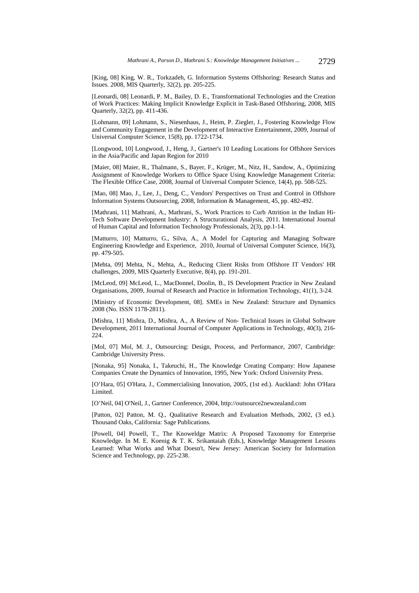[King, 08] King, W. R., Torkzadeh, G. Information Systems Offshoring: Research Status and Issues. 2008, MIS Quarterly, 32(2), pp. 205-225.

[Leonardi, 08] Leonardi, P. M., Bailey, D. E., Transformational Technologies and the Creation of Work Practices: Making Implicit Knowledge Explicit in Task-Based Offshoring, 2008, MIS Quarterly, 32(2), pp. 411-436.

[Lohmann, 09] Lohmann, S., Niesenhaus, J., Heim, P. Ziegler, J., Fostering Knowledge Flow and Community Engagement in the Development of Interactive Entertainment, 2009, Journal of Universal Computer Science, 15(8), pp. 1722-1734.

[Longwood, 10] Longwood, J., Heng, J., Gartner's 10 Leading Locations for Offshore Services in the Asia/Pacific and Japan Region for 2010

[Maier, 08] Maier, R., Thalmann, S., Bayer, F., Krüger, M., Nitz, H., Sandow, A., Optimizing Assignment of Knowledge Workers to Office Space Using Knowledge Management Criteria: The Flexible Office Case, 2008, Journal of Universal Computer Science, 14(4), pp. 508-525.

[Mao, 08] Mao, J., Lee, J., Deng, C., Vendors' Perspectives on Trust and Control in Offshore Information Systems Outsourcing, 2008, Information & Management, 45, pp. 482-492.

[Mathrani, 11] Mathrani, A., Mathrani, S., Work Practices to Curb Attrition in the Indian Hi-Tech Software Development Industry: A Structurational Analysis, 2011. International Journal of Human Capital and Information Technology Professionals, 2(3), pp.1-14.

[Matturro, 10] Matturro, G., Silva, A., A Model for Capturing and Managing Software Engineering Knowledge and Experience, 2010, Journal of Universal Computer Science, 16(3), pp. 479-505.

[Mehta, 09] Mehta, N., Mehta, A., Reducing Client Risks from Offshore IT Vendors' HR challenges, 2009, MIS Quarterly Executive, 8(4), pp. 191-201.

[McLeod, 09] McLeod, L., MacDonnel, Doolin, B., IS Development Practice in New Zealand Organisations, 2009, Journal of Research and Practice in Information Technology, 41(1), 3-24.

[Ministry of Economic Development, 08]. SMEs in New Zealand: Structure and Dynamics 2008 (No. ISSN 1178-2811).

[Mishra, 11] Mishra, D., Mishra, A., A Review of Non- Technical Issues in Global Software Development, 2011 International Journal of Computer Applications in Technology, 40(3), 216- 224.

[Mol, 07] Mol, M. J., Outsourcing: Design, Process, and Performance, 2007, Cambridge: Cambridge University Press.

[Nonaka, 95] Nonaka, I., Takeuchi, H., The Knowledge Creating Company: How Japanese Companies Create the Dynamics of Innovation, 1995, New York: Oxford University Press.

[O'Hara, 05] O'Hara, J., Commercialising Innovation, 2005, (1st ed.). Auckland: John O'Hara Limited.

[O'Neil, 04] O'Neil, J., Gartner Conference, 2004, http://outsource2newzealand.com

[Patton, 02] Patton, M. Q., Qualitative Research and Evaluation Methods, 2002, (3 ed.). Thousand Oaks, California: Sage Publications.

[Powell, 04] Powell, T., The Knoweldge Matrix: A Proposed Taxonomy for Enterprise Knowledge. In M. E. Koenig & T. K. Srikantaiah (Eds.), Knowledge Management Lessons Learned: What Works and What Doesn't, New Jersey: American Society for Information Science and Technology, pp. 225-238.